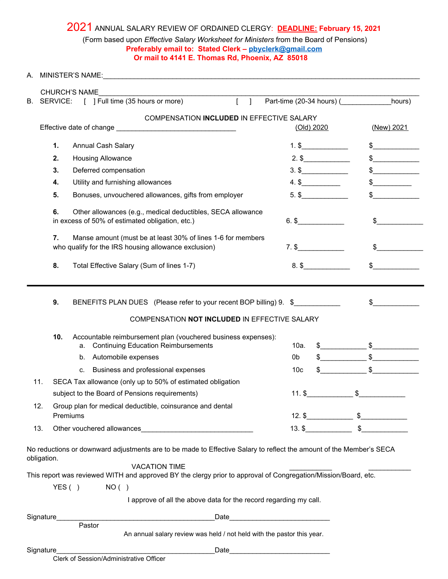## 2021 ANNUAL SALARY REVIEW OF ORDAINED CLERGY: **DEADLINE: February 15, <sup>2021</sup>** (Form based upon *Effective Salary Worksheet for Ministers* from the Board of Pensions) **Preferably email to: Stated Clerk – [pbyclerk@gmail.com](mailto:pbyclerk@gmail.com) Or mail to 4141 E. Thomas Rd, Phoenix, AZ 85018**

| А.          |                                                                                                                                                                                                                                                               |      |                 |            |                                                                                                                                                                                                                                                                                                                     |
|-------------|---------------------------------------------------------------------------------------------------------------------------------------------------------------------------------------------------------------------------------------------------------------|------|-----------------|------------|---------------------------------------------------------------------------------------------------------------------------------------------------------------------------------------------------------------------------------------------------------------------------------------------------------------------|
|             | <b>CHURCH'S NAME</b>                                                                                                                                                                                                                                          |      |                 |            |                                                                                                                                                                                                                                                                                                                     |
| В.          | SERVICE: [ ] Full time (35 hours or more) [ ]                                                                                                                                                                                                                 |      |                 |            | Part-time (20-34 hours) (hours)                                                                                                                                                                                                                                                                                     |
|             | COMPENSATION INCLUDED IN EFFECTIVE SALARY                                                                                                                                                                                                                     |      |                 | (Old) 2020 | (New) 2021                                                                                                                                                                                                                                                                                                          |
|             | 1.<br>Annual Cash Salary                                                                                                                                                                                                                                      |      | $1.$ \$         |            | $\frac{1}{2}$                                                                                                                                                                                                                                                                                                       |
|             | 2.<br>Housing Allowance                                                                                                                                                                                                                                       |      |                 | $2.$ \$    | $\sim$                                                                                                                                                                                                                                                                                                              |
|             | 3.<br>Deferred compensation                                                                                                                                                                                                                                   |      | $3.$ \$         | $\sim$     |                                                                                                                                                                                                                                                                                                                     |
|             | Utility and furnishing allowances<br>4.                                                                                                                                                                                                                       |      |                 | $4.$ \$    | $\frac{1}{2}$                                                                                                                                                                                                                                                                                                       |
|             | 5.<br>Bonuses, unvouchered allowances, gifts from employer                                                                                                                                                                                                    |      |                 | $5.$ \$    |                                                                                                                                                                                                                                                                                                                     |
|             | 6.<br>Other allowances (e.g., medical deductibles, SECA allowance<br>in excess of 50% of estimated obligation, etc.)                                                                                                                                          |      |                 | $6.$ \$    | $\sim$                                                                                                                                                                                                                                                                                                              |
|             | Manse amount (must be at least 30% of lines 1-6 for members<br>7.<br>who qualify for the IRS housing allowance exclusion)                                                                                                                                     |      |                 |            | $\frac{1}{2}$                                                                                                                                                                                                                                                                                                       |
|             | 8.<br>Total Effective Salary (Sum of lines 1-7)                                                                                                                                                                                                               |      |                 | $8.$ \$    | $\frac{1}{2}$                                                                                                                                                                                                                                                                                                       |
|             | 9.<br>BENEFITS PLAN DUES (Please refer to your recent BOP billing) 9. \$<br>COMPENSATION NOT INCLUDED IN EFFECTIVE SALARY<br>10.<br>Accountable reimbursement plan (vouchered business expenses):                                                             |      |                 |            | $\sim$                                                                                                                                                                                                                                                                                                              |
|             | <b>Continuing Education Reimbursements</b><br>a.                                                                                                                                                                                                              |      | 10a.            |            | $\frac{1}{2}$ $\frac{1}{2}$ $\frac{1}{2}$ $\frac{1}{2}$ $\frac{1}{2}$ $\frac{1}{2}$ $\frac{1}{2}$ $\frac{1}{2}$ $\frac{1}{2}$ $\frac{1}{2}$ $\frac{1}{2}$ $\frac{1}{2}$ $\frac{1}{2}$ $\frac{1}{2}$ $\frac{1}{2}$ $\frac{1}{2}$ $\frac{1}{2}$ $\frac{1}{2}$ $\frac{1}{2}$ $\frac{1}{2}$ $\frac{1}{2}$ $\frac{1}{2}$ |
|             | Automobile expenses<br>b.                                                                                                                                                                                                                                     |      | 0b              |            | $\frac{1}{2}$ $\frac{1}{2}$ $\frac{1}{2}$ $\frac{1}{2}$ $\frac{1}{2}$ $\frac{1}{2}$ $\frac{1}{2}$ $\frac{1}{2}$ $\frac{1}{2}$ $\frac{1}{2}$ $\frac{1}{2}$ $\frac{1}{2}$ $\frac{1}{2}$ $\frac{1}{2}$ $\frac{1}{2}$ $\frac{1}{2}$ $\frac{1}{2}$ $\frac{1}{2}$ $\frac{1}{2}$ $\frac{1}{2}$ $\frac{1}{2}$ $\frac{1}{2}$ |
|             | Business and professional expenses<br>C.                                                                                                                                                                                                                      |      | 10 <sub>c</sub> |            |                                                                                                                                                                                                                                                                                                                     |
| 11.         | SECA Tax allowance (only up to 50% of estimated obligation                                                                                                                                                                                                    |      |                 |            |                                                                                                                                                                                                                                                                                                                     |
|             | subject to the Board of Pensions requirements)                                                                                                                                                                                                                |      | $11.$ \$        |            | \$                                                                                                                                                                                                                                                                                                                  |
| 12.         | Group plan for medical deductible, coinsurance and dental<br>Premiums                                                                                                                                                                                         |      |                 |            | $12.$ \$                                                                                                                                                                                                                                                                                                            |
| 13.         | Other vouchered allowances                                                                                                                                                                                                                                    |      |                 | $13.$ \$   | $\sim$                                                                                                                                                                                                                                                                                                              |
| obligation. | No reductions or downward adjustments are to be made to Effective Salary to reflect the amount of the Member's SECA<br><b>VACATION TIME</b><br>This report was reviewed WITH and approved BY the clergy prior to approval of Congregation/Mission/Board, etc. |      |                 |            |                                                                                                                                                                                                                                                                                                                     |
|             | YES( )<br>NO( )                                                                                                                                                                                                                                               |      |                 |            |                                                                                                                                                                                                                                                                                                                     |
|             | I approve of all the above data for the record regarding my call.                                                                                                                                                                                             |      |                 |            |                                                                                                                                                                                                                                                                                                                     |
| Signature_  |                                                                                                                                                                                                                                                               | Date |                 |            |                                                                                                                                                                                                                                                                                                                     |
|             | Pastor<br>An annual salary review was held / not held with the pastor this year.                                                                                                                                                                              |      |                 |            |                                                                                                                                                                                                                                                                                                                     |
| Signature   | Date                                                                                                                                                                                                                                                          |      |                 |            |                                                                                                                                                                                                                                                                                                                     |